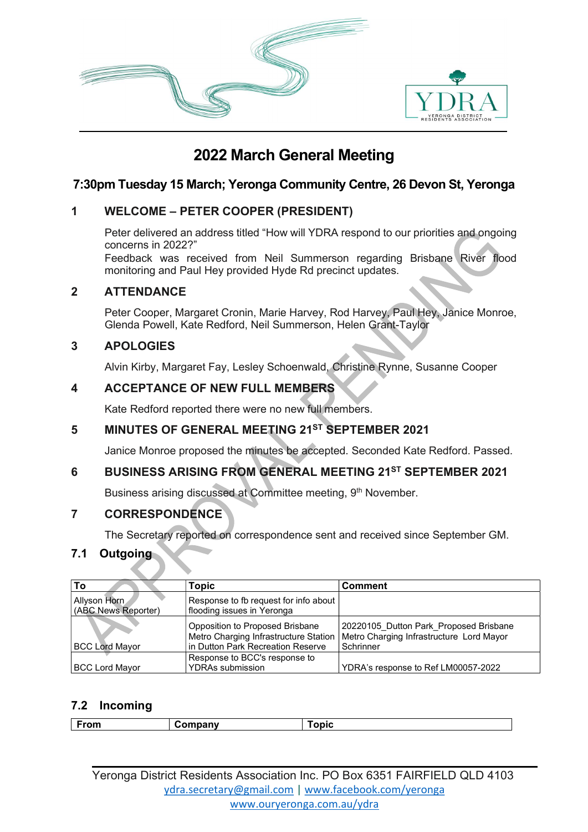

# 2022 March General Meeting

# 7:30pm Tuesday 15 March; Yeronga Community Centre, 26 Devon St, Yeronga

# 1 WELCOME – PETER COOPER (PRESIDENT)

Peter delivered an address titled "How will YDRA respond to our priorities and ongoing concerns in 2022?"

Feedback was received from Neil Summerson regarding Brisbane River flood monitoring and Paul Hey provided Hyde Rd precinct updates.

#### 2 ATTENDANCE

Peter Cooper, Margaret Cronin, Marie Harvey, Rod Harvey, Paul Hey, Janice Monroe, Glenda Powell, Kate Redford, Neil Summerson, Helen Grant-Taylor

## 3 APOLOGIES

Alvin Kirby, Margaret Fay, Lesley Schoenwald, Christine Rynne, Susanne Cooper

# 4 ACCEPTANCE OF NEW FULL MEMBERS

Kate Redford reported there were no new full members.

# 5 MINUTES OF GENERAL MEETING 21ST SEPTEMBER 2021

Janice Monroe proposed the minutes be accepted. Seconded Kate Redford. Passed.

# 6 BUSINESS ARISING FROM GENERAL MEETING 21ST SEPTEMBER 2021

Business arising discussed at Committee meeting, 9<sup>th</sup> November.

## 7 CORRESPONDENCE

The Secretary reported on correspondence sent and received since September GM.

## 7.1 Outgoing

| To                                  | Topic                                                                                                         | <b>Comment</b>                                                                                  |
|-------------------------------------|---------------------------------------------------------------------------------------------------------------|-------------------------------------------------------------------------------------------------|
| Allyson Horn<br>(ABC News Reporter) | Response to fb request for info about<br>flooding issues in Yeronga                                           |                                                                                                 |
| <b>BCC Lord Mayor</b>               | Opposition to Proposed Brisbane<br>Metro Charging Infrastructure Station<br>in Dutton Park Recreation Reserve | 20220105 Dutton Park Proposed Brisbane<br>Metro Charging Infrastructure Lord Mayor<br>Schrinner |
| <b>BCC Lord Mayor</b>               | Response to BCC's response to<br><b>YDRAs submission</b>                                                      | YDRA's response to Ref LM00057-2022                                                             |

## 7.2 Incoming

| -----<br><b>From</b> | .<br><sub>→</sub> …µdΠV | ---- |
|----------------------|-------------------------|------|
|                      |                         |      |

Yeronga District Residents Association Inc. PO Box 6351 FAIRFIELD QLD 4103 ydra.secretary@gmail.com | www.facebook.com/yeronga www.ouryeronga.com.au/ydra